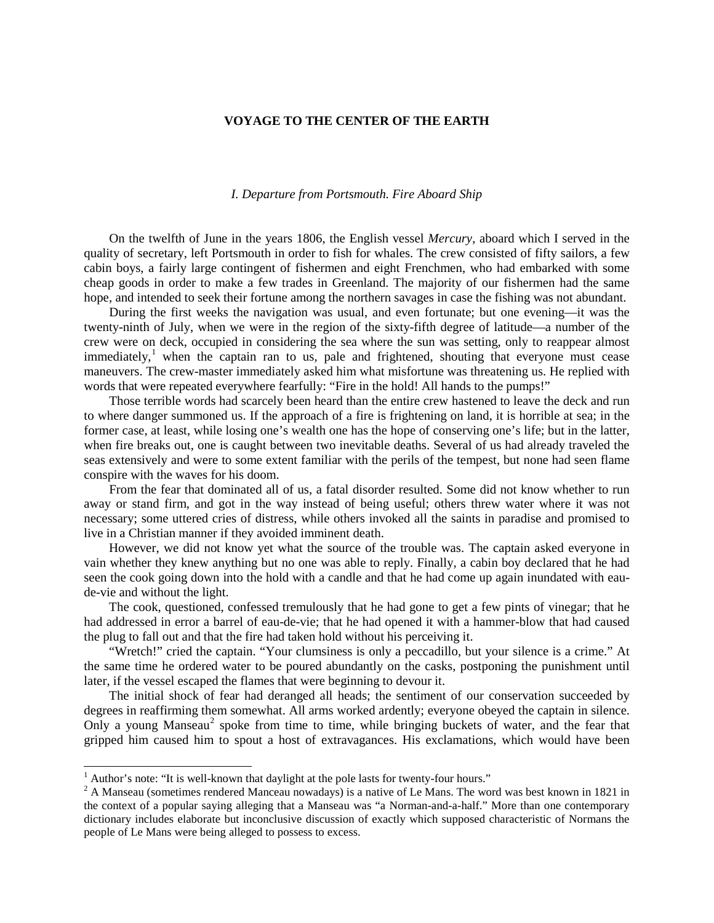## **VOYAGE TO THE CENTER OF THE EARTH**

## *I. Departure from Portsmouth. Fire Aboard Ship*

On the twelfth of June in the years 1806, the English vessel *Mercury*, aboard which I served in the quality of secretary, left Portsmouth in order to fish for whales. The crew consisted of fifty sailors, a few cabin boys, a fairly large contingent of fishermen and eight Frenchmen, who had embarked with some cheap goods in order to make a few trades in Greenland. The majority of our fishermen had the same hope, and intended to seek their fortune among the northern savages in case the fishing was not abundant.

During the first weeks the navigation was usual, and even fortunate; but one evening—it was the twenty-ninth of July, when we were in the region of the sixty-fifth degree of latitude—a number of the crew were on deck, occupied in considering the sea where the sun was setting, only to reappear almost immediately,<sup>[1](#page-0-0)</sup> when the captain ran to us, pale and frightened, shouting that everyone must cease maneuvers. The crew-master immediately asked him what misfortune was threatening us. He replied with words that were repeated everywhere fearfully: "Fire in the hold! All hands to the pumps!"

Those terrible words had scarcely been heard than the entire crew hastened to leave the deck and run to where danger summoned us. If the approach of a fire is frightening on land, it is horrible at sea; in the former case, at least, while losing one's wealth one has the hope of conserving one's life; but in the latter, when fire breaks out, one is caught between two inevitable deaths. Several of us had already traveled the seas extensively and were to some extent familiar with the perils of the tempest, but none had seen flame conspire with the waves for his doom.

From the fear that dominated all of us, a fatal disorder resulted. Some did not know whether to run away or stand firm, and got in the way instead of being useful; others threw water where it was not necessary; some uttered cries of distress, while others invoked all the saints in paradise and promised to live in a Christian manner if they avoided imminent death.

However, we did not know yet what the source of the trouble was. The captain asked everyone in vain whether they knew anything but no one was able to reply. Finally, a cabin boy declared that he had seen the cook going down into the hold with a candle and that he had come up again inundated with eaude-vie and without the light.

The cook, questioned, confessed tremulously that he had gone to get a few pints of vinegar; that he had addressed in error a barrel of eau-de-vie; that he had opened it with a hammer-blow that had caused the plug to fall out and that the fire had taken hold without his perceiving it.

"Wretch!" cried the captain. "Your clumsiness is only a peccadillo, but your silence is a crime." At the same time he ordered water to be poured abundantly on the casks, postponing the punishment until later, if the vessel escaped the flames that were beginning to devour it.

The initial shock of fear had deranged all heads; the sentiment of our conservation succeeded by degrees in reaffirming them somewhat. All arms worked ardently; everyone obeyed the captain in silence. Only a young Manseau<sup>[2](#page-0-1)</sup> spoke from time to time, while bringing buckets of water, and the fear that gripped him caused him to spout a host of extravagances. His exclamations, which would have been

<span id="page-0-0"></span><sup>&</sup>lt;sup>1</sup> Author's note: "It is well-known that daylight at the pole lasts for twenty-four hours."

<span id="page-0-1"></span><sup>&</sup>lt;sup>2</sup> A Manseau (sometimes rendered Manceau nowadays) is a native of Le Mans. The word was best known in 1821 in the context of a popular saying alleging that a Manseau was "a Norman-and-a-half." More than one contemporary dictionary includes elaborate but inconclusive discussion of exactly which supposed characteristic of Normans the people of Le Mans were being alleged to possess to excess.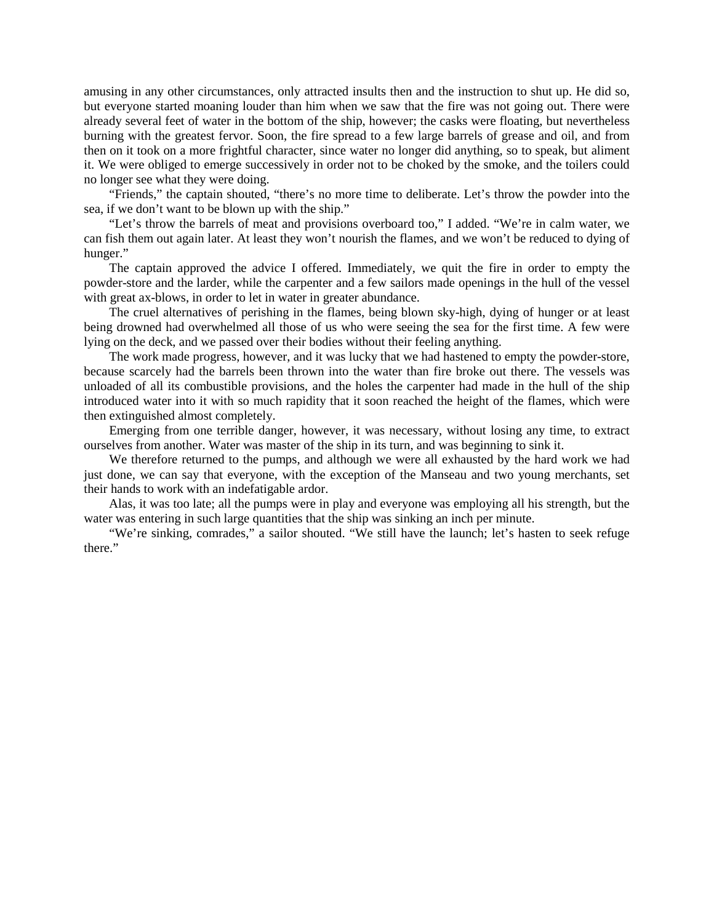amusing in any other circumstances, only attracted insults then and the instruction to shut up. He did so, but everyone started moaning louder than him when we saw that the fire was not going out. There were already several feet of water in the bottom of the ship, however; the casks were floating, but nevertheless burning with the greatest fervor. Soon, the fire spread to a few large barrels of grease and oil, and from then on it took on a more frightful character, since water no longer did anything, so to speak, but aliment it. We were obliged to emerge successively in order not to be choked by the smoke, and the toilers could no longer see what they were doing.

"Friends," the captain shouted, "there's no more time to deliberate. Let's throw the powder into the sea, if we don't want to be blown up with the ship."

"Let's throw the barrels of meat and provisions overboard too," I added. "We're in calm water, we can fish them out again later. At least they won't nourish the flames, and we won't be reduced to dying of hunger."

The captain approved the advice I offered. Immediately, we quit the fire in order to empty the powder-store and the larder, while the carpenter and a few sailors made openings in the hull of the vessel with great ax-blows, in order to let in water in greater abundance.

The cruel alternatives of perishing in the flames, being blown sky-high, dying of hunger or at least being drowned had overwhelmed all those of us who were seeing the sea for the first time. A few were lying on the deck, and we passed over their bodies without their feeling anything.

The work made progress, however, and it was lucky that we had hastened to empty the powder-store, because scarcely had the barrels been thrown into the water than fire broke out there. The vessels was unloaded of all its combustible provisions, and the holes the carpenter had made in the hull of the ship introduced water into it with so much rapidity that it soon reached the height of the flames, which were then extinguished almost completely.

Emerging from one terrible danger, however, it was necessary, without losing any time, to extract ourselves from another. Water was master of the ship in its turn, and was beginning to sink it.

We therefore returned to the pumps, and although we were all exhausted by the hard work we had just done, we can say that everyone, with the exception of the Manseau and two young merchants, set their hands to work with an indefatigable ardor.

Alas, it was too late; all the pumps were in play and everyone was employing all his strength, but the water was entering in such large quantities that the ship was sinking an inch per minute.

"We're sinking, comrades," a sailor shouted. "We still have the launch; let's hasten to seek refuge there."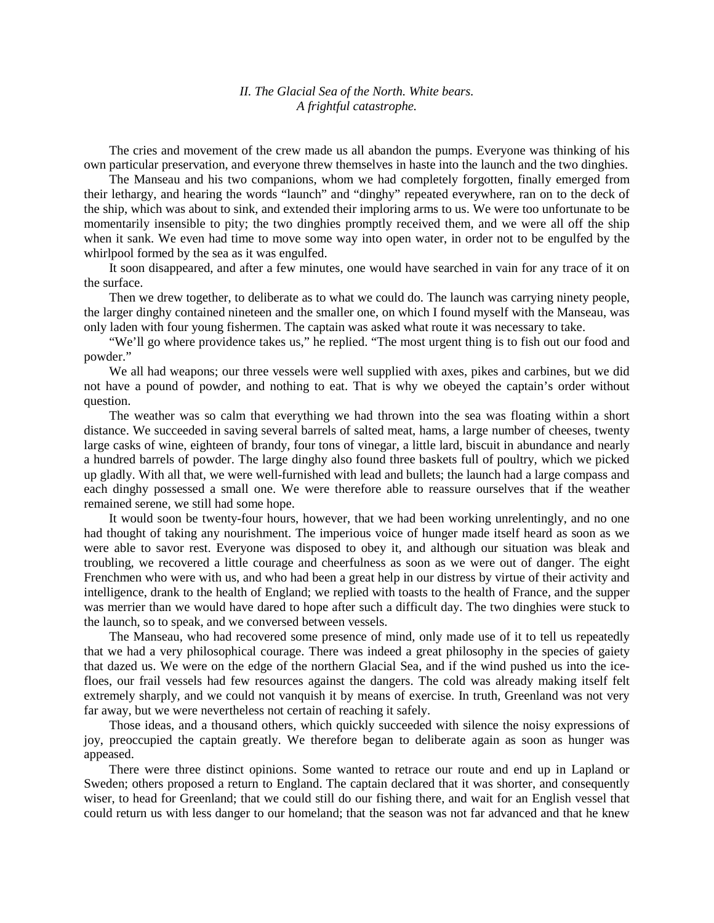## *II. The Glacial Sea of the North. White bears. A frightful catastrophe.*

The cries and movement of the crew made us all abandon the pumps. Everyone was thinking of his own particular preservation, and everyone threw themselves in haste into the launch and the two dinghies.

The Manseau and his two companions, whom we had completely forgotten, finally emerged from their lethargy, and hearing the words "launch" and "dinghy" repeated everywhere, ran on to the deck of the ship, which was about to sink, and extended their imploring arms to us. We were too unfortunate to be momentarily insensible to pity; the two dinghies promptly received them, and we were all off the ship when it sank. We even had time to move some way into open water, in order not to be engulfed by the whirlpool formed by the sea as it was engulfed.

It soon disappeared, and after a few minutes, one would have searched in vain for any trace of it on the surface.

Then we drew together, to deliberate as to what we could do. The launch was carrying ninety people, the larger dinghy contained nineteen and the smaller one, on which I found myself with the Manseau, was only laden with four young fishermen. The captain was asked what route it was necessary to take.

"We'll go where providence takes us," he replied. "The most urgent thing is to fish out our food and powder."

We all had weapons; our three vessels were well supplied with axes, pikes and carbines, but we did not have a pound of powder, and nothing to eat. That is why we obeyed the captain's order without question.

The weather was so calm that everything we had thrown into the sea was floating within a short distance. We succeeded in saving several barrels of salted meat, hams, a large number of cheeses, twenty large casks of wine, eighteen of brandy, four tons of vinegar, a little lard, biscuit in abundance and nearly a hundred barrels of powder. The large dinghy also found three baskets full of poultry, which we picked up gladly. With all that, we were well-furnished with lead and bullets; the launch had a large compass and each dinghy possessed a small one. We were therefore able to reassure ourselves that if the weather remained serene, we still had some hope.

It would soon be twenty-four hours, however, that we had been working unrelentingly, and no one had thought of taking any nourishment. The imperious voice of hunger made itself heard as soon as we were able to savor rest. Everyone was disposed to obey it, and although our situation was bleak and troubling, we recovered a little courage and cheerfulness as soon as we were out of danger. The eight Frenchmen who were with us, and who had been a great help in our distress by virtue of their activity and intelligence, drank to the health of England; we replied with toasts to the health of France, and the supper was merrier than we would have dared to hope after such a difficult day. The two dinghies were stuck to the launch, so to speak, and we conversed between vessels.

The Manseau, who had recovered some presence of mind, only made use of it to tell us repeatedly that we had a very philosophical courage. There was indeed a great philosophy in the species of gaiety that dazed us. We were on the edge of the northern Glacial Sea, and if the wind pushed us into the icefloes, our frail vessels had few resources against the dangers. The cold was already making itself felt extremely sharply, and we could not vanquish it by means of exercise. In truth, Greenland was not very far away, but we were nevertheless not certain of reaching it safely.

Those ideas, and a thousand others, which quickly succeeded with silence the noisy expressions of joy, preoccupied the captain greatly. We therefore began to deliberate again as soon as hunger was appeased.

There were three distinct opinions. Some wanted to retrace our route and end up in Lapland or Sweden; others proposed a return to England. The captain declared that it was shorter, and consequently wiser, to head for Greenland; that we could still do our fishing there, and wait for an English vessel that could return us with less danger to our homeland; that the season was not far advanced and that he knew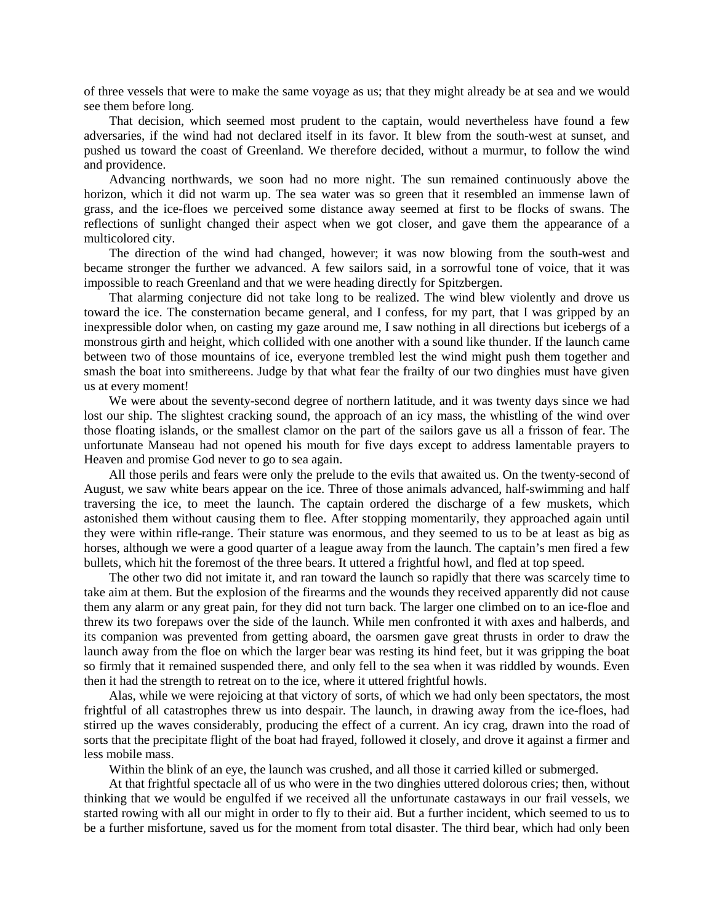of three vessels that were to make the same voyage as us; that they might already be at sea and we would see them before long.

That decision, which seemed most prudent to the captain, would nevertheless have found a few adversaries, if the wind had not declared itself in its favor. It blew from the south-west at sunset, and pushed us toward the coast of Greenland. We therefore decided, without a murmur, to follow the wind and providence.

Advancing northwards, we soon had no more night. The sun remained continuously above the horizon, which it did not warm up. The sea water was so green that it resembled an immense lawn of grass, and the ice-floes we perceived some distance away seemed at first to be flocks of swans. The reflections of sunlight changed their aspect when we got closer, and gave them the appearance of a multicolored city.

The direction of the wind had changed, however; it was now blowing from the south-west and became stronger the further we advanced. A few sailors said, in a sorrowful tone of voice, that it was impossible to reach Greenland and that we were heading directly for Spitzbergen.

That alarming conjecture did not take long to be realized. The wind blew violently and drove us toward the ice. The consternation became general, and I confess, for my part, that I was gripped by an inexpressible dolor when, on casting my gaze around me, I saw nothing in all directions but icebergs of a monstrous girth and height, which collided with one another with a sound like thunder. If the launch came between two of those mountains of ice, everyone trembled lest the wind might push them together and smash the boat into smithereens. Judge by that what fear the frailty of our two dinghies must have given us at every moment!

We were about the seventy-second degree of northern latitude, and it was twenty days since we had lost our ship. The slightest cracking sound, the approach of an icy mass, the whistling of the wind over those floating islands, or the smallest clamor on the part of the sailors gave us all a frisson of fear. The unfortunate Manseau had not opened his mouth for five days except to address lamentable prayers to Heaven and promise God never to go to sea again.

All those perils and fears were only the prelude to the evils that awaited us. On the twenty-second of August, we saw white bears appear on the ice. Three of those animals advanced, half-swimming and half traversing the ice, to meet the launch. The captain ordered the discharge of a few muskets, which astonished them without causing them to flee. After stopping momentarily, they approached again until they were within rifle-range. Their stature was enormous, and they seemed to us to be at least as big as horses, although we were a good quarter of a league away from the launch. The captain's men fired a few bullets, which hit the foremost of the three bears. It uttered a frightful howl, and fled at top speed.

The other two did not imitate it, and ran toward the launch so rapidly that there was scarcely time to take aim at them. But the explosion of the firearms and the wounds they received apparently did not cause them any alarm or any great pain, for they did not turn back. The larger one climbed on to an ice-floe and threw its two forepaws over the side of the launch. While men confronted it with axes and halberds, and its companion was prevented from getting aboard, the oarsmen gave great thrusts in order to draw the launch away from the floe on which the larger bear was resting its hind feet, but it was gripping the boat so firmly that it remained suspended there, and only fell to the sea when it was riddled by wounds. Even then it had the strength to retreat on to the ice, where it uttered frightful howls.

Alas, while we were rejoicing at that victory of sorts, of which we had only been spectators, the most frightful of all catastrophes threw us into despair. The launch, in drawing away from the ice-floes, had stirred up the waves considerably, producing the effect of a current. An icy crag, drawn into the road of sorts that the precipitate flight of the boat had frayed, followed it closely, and drove it against a firmer and less mobile mass.

Within the blink of an eye, the launch was crushed, and all those it carried killed or submerged.

At that frightful spectacle all of us who were in the two dinghies uttered dolorous cries; then, without thinking that we would be engulfed if we received all the unfortunate castaways in our frail vessels, we started rowing with all our might in order to fly to their aid. But a further incident, which seemed to us to be a further misfortune, saved us for the moment from total disaster. The third bear, which had only been